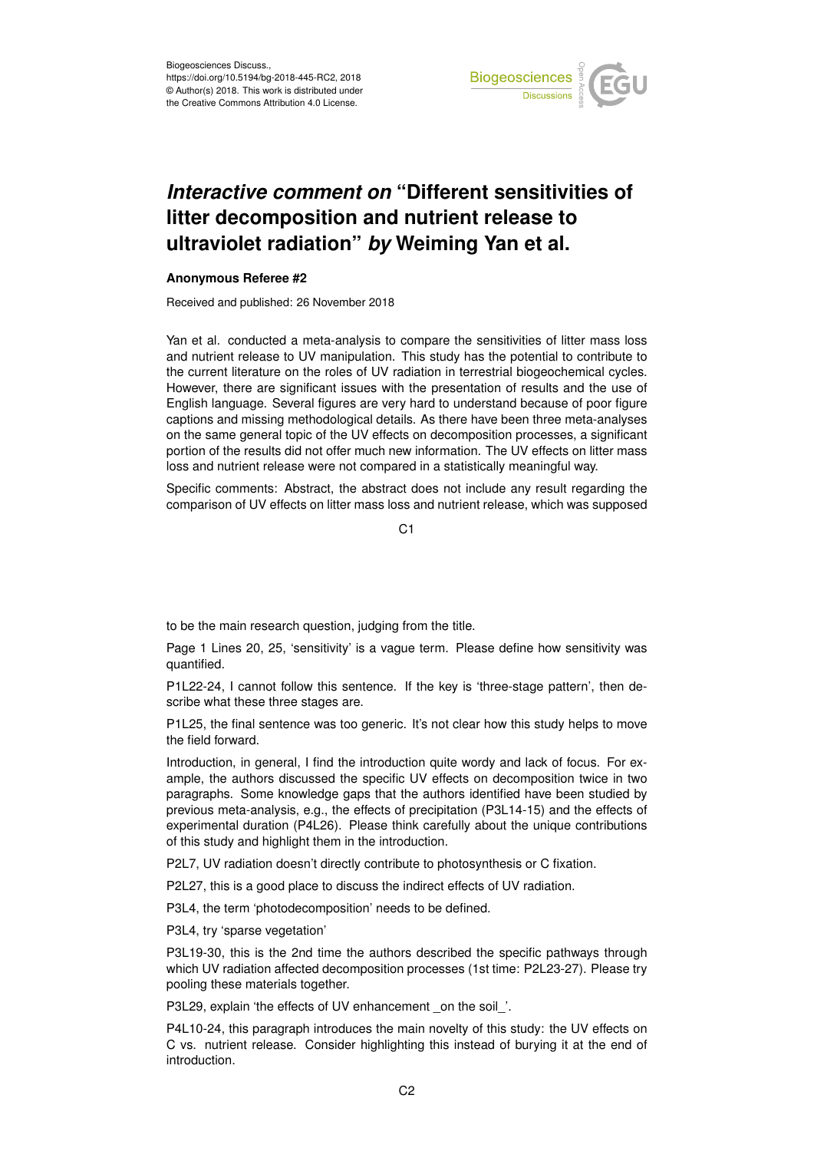

## *Interactive comment on* **"Different sensitivities of litter decomposition and nutrient release to ultraviolet radiation"** *by* **Weiming Yan et al.**

## **Anonymous Referee #2**

Received and published: 26 November 2018

Yan et al. conducted a meta-analysis to compare the sensitivities of litter mass loss and nutrient release to UV manipulation. This study has the potential to contribute to the current literature on the roles of UV radiation in terrestrial biogeochemical cycles. However, there are significant issues with the presentation of results and the use of English language. Several figures are very hard to understand because of poor figure captions and missing methodological details. As there have been three meta-analyses on the same general topic of the UV effects on decomposition processes, a significant portion of the results did not offer much new information. The UV effects on litter mass loss and nutrient release were not compared in a statistically meaningful way.

Specific comments: Abstract, the abstract does not include any result regarding the comparison of UV effects on litter mass loss and nutrient release, which was supposed

C1

to be the main research question, judging from the title.

Page 1 Lines 20, 25, 'sensitivity' is a vague term. Please define how sensitivity was quantified.

P1L22-24, I cannot follow this sentence. If the key is 'three-stage pattern', then describe what these three stages are.

P1L25, the final sentence was too generic. It's not clear how this study helps to move the field forward.

Introduction, in general, I find the introduction quite wordy and lack of focus. For example, the authors discussed the specific UV effects on decomposition twice in two paragraphs. Some knowledge gaps that the authors identified have been studied by previous meta-analysis, e.g., the effects of precipitation (P3L14-15) and the effects of experimental duration (P4L26). Please think carefully about the unique contributions of this study and highlight them in the introduction.

P2L7, UV radiation doesn't directly contribute to photosynthesis or C fixation.

P2L27, this is a good place to discuss the indirect effects of UV radiation.

P3L4, the term 'photodecomposition' needs to be defined.

P3L4, try 'sparse vegetation'

P3L19-30, this is the 2nd time the authors described the specific pathways through which UV radiation affected decomposition processes (1st time: P2L23-27). Please try pooling these materials together.

P3L29, explain 'the effects of UV enhancement \_on the soil\_'.

P4L10-24, this paragraph introduces the main novelty of this study: the UV effects on C vs. nutrient release. Consider highlighting this instead of burying it at the end of introduction.